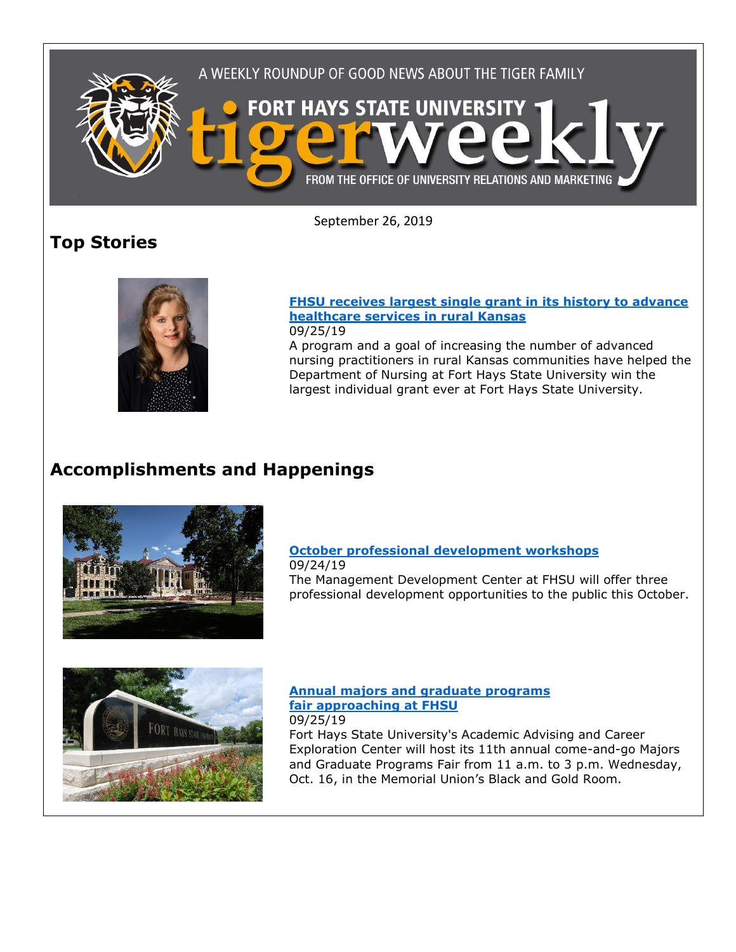

September 26, 2019

# **Top Stories**



#### **[FHSU receives largest single grant in its history to advance](https://www.fhsu.edu/news/2019/09/fhsu-receives-largest-single-grant-in-its-history-to-advance-healthcare-services-in-rural-kansas)  [healthcare services in rural Kansas](https://www.fhsu.edu/news/2019/09/fhsu-receives-largest-single-grant-in-its-history-to-advance-healthcare-services-in-rural-kansas)** 09/25/19

A program and a goal of increasing the number of advanced nursing practitioners in rural Kansas communities have helped the Department of Nursing at Fort Hays State University win the largest individual grant ever at Fort Hays State University.

# **Accomplishments and Happenings**



## **[October professional development workshops](https://www.fhsu.edu/news/2019/09/october-professional-development-workshops)**

09/24/19 The Management Development Center at FHSU will offer three professional development opportunities to the public this October.



#### **[Annual majors and graduate programs](https://www.fhsu.edu/news/2019/09/annual-majors-and-graduate-programs-fair-approaching-at-fhsu)  [fair approaching at FHSU](https://www.fhsu.edu/news/2019/09/annual-majors-and-graduate-programs-fair-approaching-at-fhsu)** 09/25/19

Fort Hays State University's Academic Advising and Career Exploration Center will host its 11th annual come-and-go Majors and Graduate Programs Fair from 11 a.m. to 3 p.m. Wednesday, Oct. 16, in the Memorial Union's Black and Gold Room.